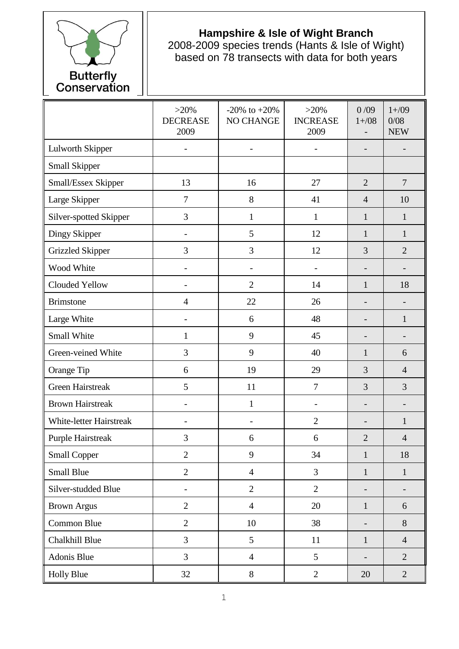

## **Hampshire & Isle of Wight Branch**

2008-2009 species trends (Hants & Isle of Wight) based on 78 transects with data for both years

|                                | $>20\%$<br><b>DECREASE</b><br>2009 | -20% to $+20%$<br>NO CHANGE | $>20\%$<br><b>INCREASE</b><br>2009 | 0/09<br>$1 + / 08$       | $1 + / 09$<br>0/08<br><b>NEW</b> |
|--------------------------------|------------------------------------|-----------------------------|------------------------------------|--------------------------|----------------------------------|
| <b>Lulworth Skipper</b>        |                                    | $\overline{\phantom{0}}$    |                                    |                          |                                  |
| Small Skipper                  |                                    |                             |                                    |                          |                                  |
| Small/Essex Skipper            | 13                                 | 16                          | 27                                 | $\overline{2}$           | $\overline{7}$                   |
| Large Skipper                  | $\overline{7}$                     | $8\,$                       | 41                                 | $\overline{4}$           | 10                               |
| Silver-spotted Skipper         | 3                                  | $\mathbf{1}$                | $\mathbf{1}$                       | $\mathbf{1}$             | $\mathbf{1}$                     |
| Dingy Skipper                  | $\overline{\phantom{a}}$           | 5                           | 12                                 | 1                        | $\mathbf{1}$                     |
| <b>Grizzled Skipper</b>        | 3                                  | 3                           | 12                                 | 3                        | $\overline{2}$                   |
| Wood White                     |                                    |                             |                                    |                          |                                  |
| Clouded Yellow                 | $\overline{\phantom{0}}$           | $\overline{2}$              | 14                                 | $\mathbf{1}$             | 18                               |
| <b>Brimstone</b>               | $\overline{4}$                     | 22                          | 26                                 | $\qquad \qquad -$        | -                                |
| Large White                    |                                    | 6                           | 48                                 |                          | $\mathbf{1}$                     |
| Small White                    | 1                                  | 9                           | 45                                 |                          |                                  |
| Green-veined White             | 3                                  | 9                           | 40                                 | $\mathbf{1}$             | 6                                |
| Orange Tip                     | 6                                  | 19                          | 29                                 | 3                        | $\overline{4}$                   |
| <b>Green Hairstreak</b>        | 5                                  | 11                          | $\overline{7}$                     | 3                        | 3                                |
| <b>Brown Hairstreak</b>        |                                    | $\mathbf{1}$                | $\overline{\phantom{0}}$           | $\overline{\phantom{0}}$ |                                  |
| <b>White-letter Hairstreak</b> |                                    | $\overline{\phantom{0}}$    | $\overline{2}$                     | -                        | $\mathbf{1}$                     |
| Purple Hairstreak              | 3                                  | 6                           | 6                                  | $\overline{2}$           | $\overline{4}$                   |
| <b>Small Copper</b>            | $\overline{2}$                     | 9                           | 34                                 | $\mathbf{1}$             | 18                               |
| <b>Small Blue</b>              | $\overline{2}$                     | $\overline{4}$              | 3                                  | $\mathbf{1}$             | $\mathbf{1}$                     |
| Silver-studded Blue            | $\overline{a}$                     | $\overline{2}$              | $\overline{2}$                     |                          | $\overline{\phantom{0}}$         |
| <b>Brown Argus</b>             | $\overline{2}$                     | $\overline{4}$              | 20                                 | $\mathbf{1}$             | 6                                |
| Common Blue                    | $\overline{2}$                     | 10                          | 38                                 |                          | 8                                |
| Chalkhill Blue                 | 3                                  | 5                           | 11                                 | $\mathbf{1}$             | $\overline{4}$                   |
| Adonis Blue                    | $\overline{3}$                     | $\overline{4}$              | 5                                  | $\overline{\phantom{0}}$ | $\overline{2}$                   |
| <b>Holly Blue</b>              | 32                                 | $8\,$                       | $\overline{2}$                     | 20                       | $\overline{2}$                   |